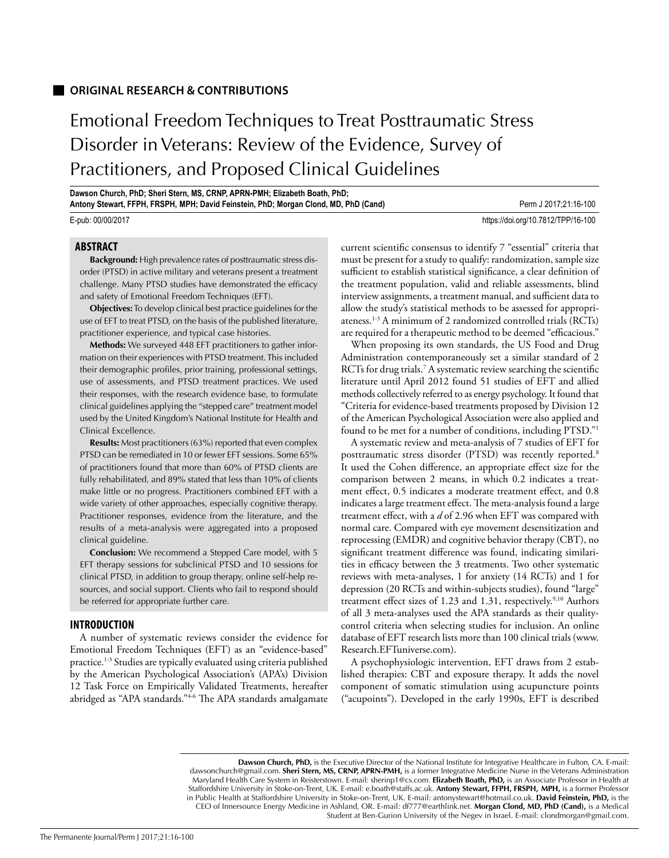# **ORIGINAL RESEARCH & CONTRIBUTIONS**

# Emotional Freedom Techniques to Treat Posttraumatic Stress Disorder in Veterans: Review of the Evidence, Survey of Practitioners, and Proposed Clinical Guidelines

**Dawson Church, PhD; Sheri Stern, MS, CRNP, APRN-PMH; Elizabeth Boath, PhD; Antony Stewart, FFPH, FRSPH, MPH; David Feinstein, PhD; Morgan Clond, MD, PhD (Cand)** Perm J 2017;21:16-100

E-pub: 00/00/2017 https://doi.org/10.7812/TPP/16-100

### **ABSTRACT**

**Background:** High prevalence rates of posttraumatic stress disorder (PTSD) in active military and veterans present a treatment challenge. Many PTSD studies have demonstrated the efficacy and safety of Emotional Freedom Techniques (EFT).

**Objectives:** To develop clinical best practice guidelines for the use of EFT to treat PTSD, on the basis of the published literature, practitioner experience, and typical case histories.

**Methods:** We surveyed 448 EFT practitioners to gather information on their experiences with PTSD treatment. This included their demographic profiles, prior training, professional settings, use of assessments, and PTSD treatment practices. We used their responses, with the research evidence base, to formulate clinical guidelines applying the "stepped care" treatment model used by the United Kingdom's National Institute for Health and Clinical Excellence.

**Results:** Most practitioners (63%) reported that even complex PTSD can be remediated in 10 or fewer EFT sessions. Some 65% of practitioners found that more than 60% of PTSD clients are fully rehabilitated, and 89% stated that less than 10% of clients make little or no progress. Practitioners combined EFT with a wide variety of other approaches, especially cognitive therapy. Practitioner responses, evidence from the literature, and the results of a meta-analysis were aggregated into a proposed clinical guideline.

**Conclusion:** We recommend a Stepped Care model, with 5 EFT therapy sessions for subclinical PTSD and 10 sessions for clinical PTSD, in addition to group therapy, online self-help resources, and social support. Clients who fail to respond should be referred for appropriate further care.

### **INTRODUCTION**

A number of systematic reviews consider the evidence for Emotional Freedom Techniques (EFT) as an "evidence-based" practice.1-3 Studies are typically evaluated using criteria published by the American Psychological Association's (APA's) Division 12 Task Force on Empirically Validated Treatments, hereafter abridged as "APA standards."4-6 The APA standards amalgamate

current scientific consensus to identify 7 "essential" criteria that must be present for a study to qualify: randomization, sample size sufficient to establish statistical significance, a clear definition of the treatment population, valid and reliable assessments, blind interview assignments, a treatment manual, and sufficient data to allow the study's statistical methods to be assessed for appropriateness.1-3 A minimum of 2 randomized controlled trials (RCTs) are required for a therapeutic method to be deemed "efficacious."

When proposing its own standards, the US Food and Drug Administration contemporaneously set a similar standard of 2 RCTs for drug trials.7 A systematic review searching the scientific literature until April 2012 found 51 studies of EFT and allied methods collectively referred to as energy psychology. It found that "Criteria for evidence-based treatments proposed by Division 12 of the American Psychological Association were also applied and found to be met for a number of conditions, including PTSD."1

A systematic review and meta-analysis of 7 studies of EFT for posttraumatic stress disorder (PTSD) was recently reported.<sup>8</sup> It used the Cohen difference, an appropriate effect size for the comparison between 2 means, in which 0.2 indicates a treatment effect, 0.5 indicates a moderate treatment effect, and 0.8 indicates a large treatment effect. The meta-analysis found a large treatment effect, with a *d* of 2.96 when EFT was compared with normal care. Compared with eye movement desensitization and reprocessing (EMDR) and cognitive behavior therapy (CBT), no significant treatment difference was found, indicating similarities in efficacy between the 3 treatments. Two other systematic reviews with meta-analyses, 1 for anxiety (14 RCTs) and 1 for depression (20 RCTs and within-subjects studies), found "large" treatment effect sizes of 1.23 and 1.31, respectively.<sup>9,10</sup> Authors of all 3 meta-analyses used the APA standards as their qualitycontrol criteria when selecting studies for inclusion. An online database of EFT research lists more than 100 clinical trials (www. Research.EFTuniverse.com).

A psychophysiologic intervention, EFT draws from 2 established therapies: CBT and exposure therapy. It adds the novel component of somatic stimulation using acupuncture points ("acupoints"). Developed in the early 1990s, EFT is described

**Dawson Church, PhD,** is the Executive Director of the National Institute for Integrative Healthcare in Fulton, CA. E-mail: dawsonchurch@gmail.com. **Sheri Stern, MS, CRNP, APRN-PMH,** is a former Integrative Medicine Nurse in the Veterans Administration Maryland Health Care System in Reisterstown. E-mail: sherinp1@cs.com. **Elizabeth Boath, PhD,** is an Associate Professor in Health at Staffordshire University in Stoke-on-Trent, UK. E-mail: e.boath@staffs.ac.uk. **Antony Stewart, FFPH, FRSPH, MPH,** is a former Professor in Public Health at Staffordshire University in Stoke-on-Trent, UK. E-mail: antonystewart@hotmail.co.uk. **David Feinstein, PhD,** is the CEO of Innersource Energy Medicine in Ashland, OR. E-mail: df777@earthlink.net. **Morgan Clond, MD, PhD (Cand),** is a Medical Student at Ben-Gurion University of the Negev in Israel. E-mail: clondmorgan@gmail.com.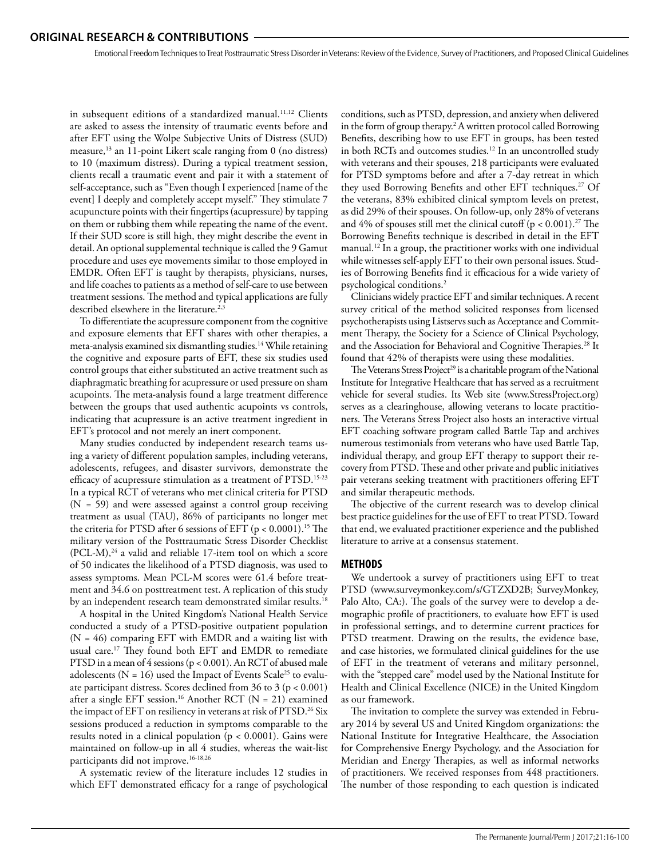in subsequent editions of a standardized manual.<sup>11,12</sup> Clients are asked to assess the intensity of traumatic events before and after EFT using the Wolpe Subjective Units of Distress (SUD) measure, $^{13}$  an 11-point Likert scale ranging from 0 (no distress) to 10 (maximum distress). During a typical treatment session, clients recall a traumatic event and pair it with a statement of self-acceptance, such as "Even though I experienced [name of the event] I deeply and completely accept myself." They stimulate 7 acupuncture points with their fingertips (acupressure) by tapping on them or rubbing them while repeating the name of the event. If their SUD score is still high, they might describe the event in detail. An optional supplemental technique is called the 9 Gamut procedure and uses eye movements similar to those employed in EMDR. Often EFT is taught by therapists, physicians, nurses, and life coaches to patients as a method of self-care to use between treatment sessions. The method and typical applications are fully described elsewhere in the literature.<sup>2,3</sup>

To differentiate the acupressure component from the cognitive and exposure elements that EFT shares with other therapies, a meta-analysis examined six dismantling studies.<sup>14</sup> While retaining the cognitive and exposure parts of EFT, these six studies used control groups that either substituted an active treatment such as diaphragmatic breathing for acupressure or used pressure on sham acupoints. The meta-analysis found a large treatment difference between the groups that used authentic acupoints vs controls, indicating that acupressure is an active treatment ingredient in EFT's protocol and not merely an inert component.

Many studies conducted by independent research teams using a variety of different population samples, including veterans, adolescents, refugees, and disaster survivors, demonstrate the efficacy of acupressure stimulation as a treatment of PTSD.15-23 In a typical RCT of veterans who met clinical criteria for PTSD (N *=* 59) and were assessed against a control group receiving treatment as usual (TAU), 86% of participants no longer met the criteria for PTSD after 6 sessions of EFT ( $p < 0.0001$ ).<sup>15</sup> The military version of the Posttraumatic Stress Disorder Checklist (PCL-M),<sup>24</sup> a valid and reliable 17-item tool on which a score of 50 indicates the likelihood of a PTSD diagnosis, was used to assess symptoms. Mean PCL-M scores were 61.4 before treatment and 34.6 on posttreatment test. A replication of this study by an independent research team demonstrated similar results.<sup>18</sup>

A hospital in the United Kingdom's National Health Service conducted a study of a PTSD-positive outpatient population (N = 46) comparing EFT with EMDR and a waiting list with usual care.17 They found both EFT and EMDR to remediate PTSD in a mean of 4 sessions (p < 0.001). An RCT of abused male adolescents ( $N = 16$ ) used the Impact of Events Scale<sup>25</sup> to evaluate participant distress. Scores declined from 36 to 3 (p < 0.001) after a single EFT session.<sup>16</sup> Another RCT ( $N = 21$ ) examined the impact of EFT on resiliency in veterans at risk of PTSD.<sup>26</sup> Six sessions produced a reduction in symptoms comparable to the results noted in a clinical population ( $p < 0.0001$ ). Gains were maintained on follow-up in all 4 studies, whereas the wait-list participants did not improve.16-18,26

A systematic review of the literature includes 12 studies in which EFT demonstrated efficacy for a range of psychological

conditions, such as PTSD, depression, and anxiety when delivered in the form of group therapy.2 A written protocol called Borrowing Benefits, describing how to use EFT in groups, has been tested in both RCTs and outcomes studies.<sup>12</sup> In an uncontrolled study with veterans and their spouses, 218 participants were evaluated for PTSD symptoms before and after a 7-day retreat in which they used Borrowing Benefits and other EFT techniques.<sup>27</sup> Of the veterans, 83% exhibited clinical symptom levels on pretest, as did 29% of their spouses. On follow-up, only 28% of veterans and 4% of spouses still met the clinical cutoff  $(p < 0.001)$ .<sup>27</sup> The Borrowing Benefits technique is described in detail in the EFT manual.<sup>12</sup> In a group, the practitioner works with one individual while witnesses self-apply EFT to their own personal issues. Studies of Borrowing Benefits find it efficacious for a wide variety of psychological conditions.2

Clinicians widely practice EFT and similar techniques. A recent survey critical of the method solicited responses from licensed psychotherapists using Listservs such as Acceptance and Commitment Therapy, the Society for a Science of Clinical Psychology, and the Association for Behavioral and Cognitive Therapies.<sup>28</sup> It found that 42% of therapists were using these modalities.

The Veterans Stress Project<sup>29</sup> is a charitable program of the National Institute for Integrative Healthcare that has served as a recruitment vehicle for several studies. Its Web site (www.StressProject.org) serves as a clearinghouse, allowing veterans to locate practitioners. The Veterans Stress Project also hosts an interactive virtual EFT coaching software program called Battle Tap and archives numerous testimonials from veterans who have used Battle Tap, individual therapy, and group EFT therapy to support their recovery from PTSD. These and other private and public initiatives pair veterans seeking treatment with practitioners offering EFT and similar therapeutic methods.

The objective of the current research was to develop clinical best practice guidelines for the use of EFT to treat PTSD. Toward that end, we evaluated practitioner experience and the published literature to arrive at a consensus statement.

## **METHODS**

We undertook a survey of practitioners using EFT to treat PTSD (www.surveymonkey.com/s/GTZXD2B; SurveyMonkey, Palo Alto, CA:). The goals of the survey were to develop a demographic profile of practitioners, to evaluate how EFT is used in professional settings, and to determine current practices for PTSD treatment. Drawing on the results, the evidence base, and case histories, we formulated clinical guidelines for the use of EFT in the treatment of veterans and military personnel, with the "stepped care" model used by the National Institute for Health and Clinical Excellence (NICE) in the United Kingdom as our framework.

The invitation to complete the survey was extended in February 2014 by several US and United Kingdom organizations: the National Institute for Integrative Healthcare, the Association for Comprehensive Energy Psychology, and the Association for Meridian and Energy Therapies, as well as informal networks of practitioners. We received responses from 448 practitioners. The number of those responding to each question is indicated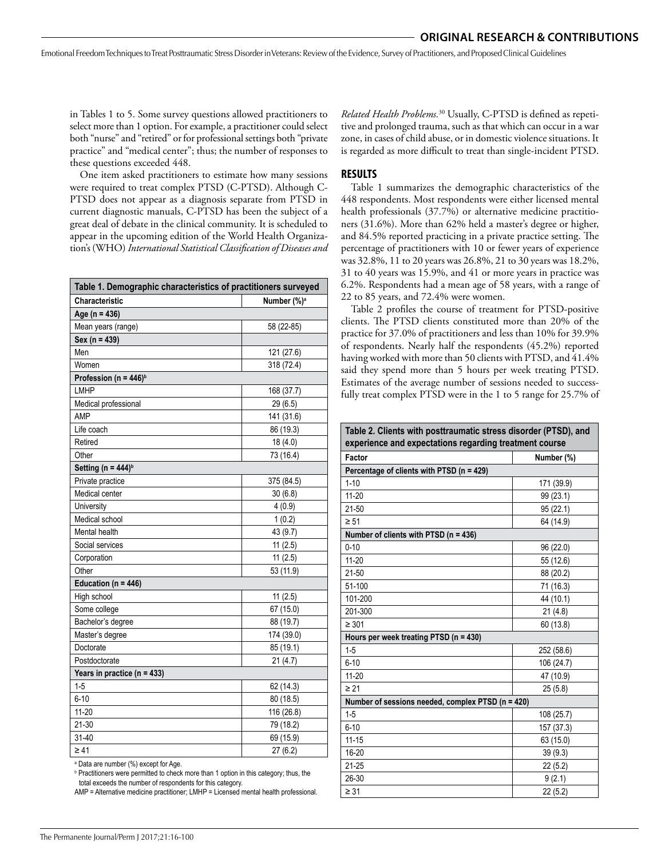in Tables 1 to 5. Some survey questions allowed practitioners to select more than 1 option. For example, a practitioner could select both "nurse" and "retired" or for professional settings both "private practice" and "medical center"; thus; the number of responses to these questions exceeded 448.

One item asked practitioners to estimate how many sessions were required to treat complex PTSD (C-PTSD). Although C-PTSD does not appear as a diagnosis separate from PTSD in current diagnostic manuals, C-PTSD has been the subject of a great deal of debate in the clinical community. It is scheduled to appear in the upcoming edition of the World Health Organization's (WHO) *International Statistical Classification of Diseases and* 

| Table 1. Demographic characteristics of practitioners surveyed |                         |  |
|----------------------------------------------------------------|-------------------------|--|
| Characteristic                                                 | Number (%) <sup>a</sup> |  |
| Age (n = 436)                                                  |                         |  |
| Mean years (range)                                             | 58 (22-85)              |  |
| Sex (n = 439)                                                  |                         |  |
| Men                                                            | 121 (27.6)              |  |
| Women                                                          | 318 (72.4)              |  |
| Profession (n = $446$ ) <sup>b</sup>                           |                         |  |
| <b>LMHP</b>                                                    | 168 (37.7)              |  |
| Medical professional                                           | 29(6.5)                 |  |
| AMP                                                            | 141 (31.6)              |  |
| Life coach                                                     | 86 (19.3)               |  |
| Retired                                                        | 18(4.0)                 |  |
| Other                                                          | 73 (16.4)               |  |
| Setting (n = $444$ ) <sup>b</sup>                              |                         |  |
| Private practice                                               | 375 (84.5)              |  |
| Medical center                                                 | 30(6.8)                 |  |
| University                                                     | 4(0.9)                  |  |
| Medical school                                                 | 1(0.2)                  |  |
| Mental health                                                  | 43 (9.7)                |  |
| Social services                                                | 11(2.5)                 |  |
| Corporation                                                    | 11(2.5)                 |  |
| Other                                                          | 53 (11.9)               |  |
| Education ( $n = 446$ )                                        |                         |  |
| High school                                                    | 11(2.5)                 |  |
| Some college                                                   | 67 (15.0)               |  |
| Bachelor's degree                                              | 88 (19.7)               |  |
| Master's degree                                                | 174 (39.0)              |  |
| Doctorate                                                      | 85 (19.1)               |  |
| Postdoctorate                                                  | 21(4.7)                 |  |
| Years in practice ( $n = 433$ )                                |                         |  |
| $1-5$                                                          | 62 (14.3)               |  |
| $6 - 10$                                                       | 80 (18.5)               |  |
| $11 - 20$                                                      | 116 (26.8)              |  |
| $21 - 30$                                                      | 79 (18.2)               |  |
| $31 - 40$                                                      | 69 (15.9)               |  |
| $\geq 41$                                                      | 27(6.2)                 |  |

a Data are number (%) except for Age.

**Practitioners were permitted to check more than 1 option in this category; thus, the** total exceeds the number of respondents for this category.

AMP = Alternative medicine practitioner; LMHP = Licensed mental health professional.

*Related Health Problems.*<sup>30</sup> Usually, C-PTSD is defined as repetitive and prolonged trauma, such as that which can occur in a war zone, in cases of child abuse, or in domestic violence situations. It is regarded as more difficult to treat than single-incident PTSD.

#### **RESULTS**

Table 1 summarizes the demographic characteristics of the 448 respondents. Most respondents were either licensed mental health professionals (37.7%) or alternative medicine practitioners (31.6%). More than 62% held a master's degree or higher, and 84.5% reported practicing in a private practice setting. The percentage of practitioners with 10 or fewer years of experience was 32.8%, 11 to 20 years was 26.8%, 21 to 30 years was 18.2%, 31 to 40 years was 15.9%, and 41 or more years in practice was 6.2%. Respondents had a mean age of 58 years, with a range of 22 to 85 years, and 72.4% were women.

Table 2 profiles the course of treatment for PTSD-positive clients. The PTSD clients constituted more than 20% of the practice for 37.0% of practitioners and less than 10% for 39.9% of respondents. Nearly half the respondents (45.2%) reported having worked with more than 50 clients with PTSD, and 41.4% said they spend more than 5 hours per week treating PTSD. Estimates of the average number of sessions needed to successfully treat complex PTSD were in the 1 to 5 range for 25.7% of

| Table 2. Clients with posttraumatic stress disorder (PTSD), and<br>experience and expectations regarding treatment course |            |  |
|---------------------------------------------------------------------------------------------------------------------------|------------|--|
| Factor                                                                                                                    | Number (%) |  |
| Percentage of clients with PTSD (n = 429)                                                                                 |            |  |
| $1 - 10$                                                                                                                  | 171 (39.9) |  |
| $11 - 20$                                                                                                                 | 99 (23.1)  |  |
| $21 - 50$                                                                                                                 | 95(22.1)   |  |
| $\geq 51$                                                                                                                 | 64 (14.9)  |  |
| Number of clients with PTSD (n = 436)                                                                                     |            |  |
| $0 - 10$                                                                                                                  | 96 (22.0)  |  |
| $11 - 20$                                                                                                                 | 55 (12.6)  |  |
| 21-50                                                                                                                     | 88 (20.2)  |  |
| 51-100                                                                                                                    | 71 (16.3)  |  |
| 101-200                                                                                                                   | 44 (10.1)  |  |
| 201-300                                                                                                                   | 21(4.8)    |  |
| $\geq 301$                                                                                                                | 60 (13.8)  |  |
| Hours per week treating PTSD (n = 430)                                                                                    |            |  |
| $1 - 5$                                                                                                                   | 252 (58.6) |  |
| $6 - 10$                                                                                                                  | 106 (24.7) |  |
| $11 - 20$                                                                                                                 | 47 (10.9)  |  |
| $\geq 21$                                                                                                                 | 25(5.8)    |  |
| Number of sessions needed, complex PTSD (n = 420)                                                                         |            |  |
| $1 - 5$                                                                                                                   | 108 (25.7) |  |
| $6 - 10$                                                                                                                  | 157 (37.3) |  |
| $11 - 15$                                                                                                                 | 63 (15.0)  |  |
| 16-20                                                                                                                     | 39(9.3)    |  |
| $21 - 25$                                                                                                                 | 22(5.2)    |  |
| $26-30$                                                                                                                   | 9(2.1)     |  |
| $\geq 31$                                                                                                                 | 22(5.2)    |  |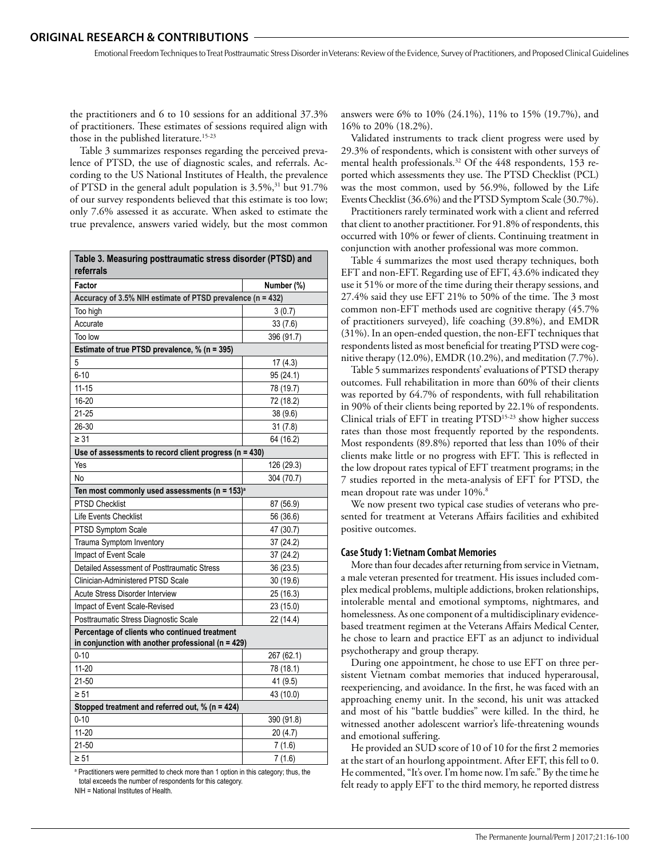the practitioners and 6 to 10 sessions for an additional 37.3% of practitioners. These estimates of sessions required align with those in the published literature.<sup>15-23</sup>

Table 3 summarizes responses regarding the perceived prevalence of PTSD, the use of diagnostic scales, and referrals. According to the US National Institutes of Health, the prevalence of PTSD in the general adult population is 3.5%,<sup>31</sup> but 91.7% of our survey respondents believed that this estimate is too low; only 7.6% assessed it as accurate. When asked to estimate the true prevalence, answers varied widely, but the most common

| Factor                                                        | Number (%) |
|---------------------------------------------------------------|------------|
| Accuracy of 3.5% NIH estimate of PTSD prevalence (n = 432)    |            |
| Too high                                                      | 3(0.7)     |
| Accurate                                                      | 33(7.6)    |
| Too low                                                       | 396 (91.7) |
| Estimate of true PTSD prevalence, % (n = 395)                 |            |
| 5                                                             | 17(4.3)    |
| $6 - 10$                                                      | 95 (24.1)  |
| $11 - 15$                                                     | 78 (19.7)  |
| 16-20                                                         | 72 (18.2)  |
| $21 - 25$                                                     | 38 (9.6)   |
| 26-30                                                         | 31(7.8)    |
| $\geq 31$                                                     | 64 (16.2)  |
| Use of assessments to record client progress ( $n = 430$ )    |            |
| Yes                                                           | 126 (29.3) |
| No                                                            | 304 (70.7) |
| Ten most commonly used assessments ( $n = 153$ ) <sup>a</sup> |            |
| <b>PTSD Checklist</b>                                         | 87 (56.9)  |
| Life Events Checklist                                         | 56 (36.6)  |
| PTSD Symptom Scale                                            | 47 (30.7)  |
| Trauma Symptom Inventory                                      | 37 (24.2)  |
| Impact of Event Scale                                         | 37 (24.2)  |
| Detailed Assessment of Posttraumatic Stress                   | 36 (23.5)  |
| Clinician-Administered PTSD Scale                             | 30(19.6)   |
| <b>Acute Stress Disorder Interview</b>                        | 25 (16.3)  |
| Impact of Event Scale-Revised                                 | 23 (15.0)  |
| Posttraumatic Stress Diagnostic Scale                         | 22 (14.4)  |
| Percentage of clients who continued treatment                 |            |
| in conjunction with another professional ( $n = 429$ )        |            |
| $0 - 10$                                                      | 267 (62.1) |
| $11 - 20$                                                     | 78 (18.1)  |
| 21-50                                                         | 41 (9.5)   |
| $\geq 51$                                                     | 43 (10.0)  |
| Stopped treatment and referred out, % (n = 424)               |            |
| $0 - 10$                                                      | 390 (91.8) |
| $11 - 20$                                                     | 20 (4.7)   |
| $21 - 50$                                                     | 7(1.6)     |
| $\geq 51$                                                     | 7(1.6)     |

<sup>a</sup> Practitioners were permitted to check more than 1 option in this category; thus, the total exceeds the number of respondents for this category.

NIH = National Institutes of Health.

answers were 6% to 10% (24.1%), 11% to 15% (19.7%), and 16% to 20% (18.2%).

Validated instruments to track client progress were used by 29.3% of respondents, which is consistent with other surveys of mental health professionals.<sup>32</sup> Of the 448 respondents, 153 reported which assessments they use. The PTSD Checklist (PCL) was the most common, used by 56.9%, followed by the Life Events Checklist (36.6%) and the PTSD Symptom Scale (30.7%).

Practitioners rarely terminated work with a client and referred that client to another practitioner. For 91.8% of respondents, this occurred with 10% or fewer of clients. Continuing treatment in conjunction with another professional was more common.

Table 4 summarizes the most used therapy techniques, both EFT and non-EFT. Regarding use of EFT, 43.6% indicated they use it 51% or more of the time during their therapy sessions, and 27.4% said they use EFT 21% to 50% of the time. The 3 most common non-EFT methods used are cognitive therapy (45.7% of practitioners surveyed), life coaching (39.8%), and EMDR (31%). In an open-ended question, the non-EFT techniques that respondents listed as most beneficial for treating PTSD were cognitive therapy (12.0%), EMDR (10.2%), and meditation (7.7%).

Table 5 summarizes respondents' evaluations of PTSD therapy outcomes. Full rehabilitation in more than 60% of their clients was reported by 64.7% of respondents, with full rehabilitation in 90% of their clients being reported by 22.1% of respondents. Clinical trials of EFT in treating PTSD15-23 show higher success rates than those most frequently reported by the respondents. Most respondents (89.8%) reported that less than 10% of their clients make little or no progress with EFT. This is reflected in the low dropout rates typical of EFT treatment programs; in the 7 studies reported in the meta-analysis of EFT for PTSD, the mean dropout rate was under 10%.<sup>8</sup>

We now present two typical case studies of veterans who presented for treatment at Veterans Affairs facilities and exhibited positive outcomes.

#### **Case Study 1: Vietnam Combat Memories**

More than four decades after returning from service in Vietnam, a male veteran presented for treatment. His issues included complex medical problems, multiple addictions, broken relationships, intolerable mental and emotional symptoms, nightmares, and homelessness. As one component of a multidisciplinary evidencebased treatment regimen at the Veterans Affairs Medical Center, he chose to learn and practice EFT as an adjunct to individual psychotherapy and group therapy.

During one appointment, he chose to use EFT on three persistent Vietnam combat memories that induced hyperarousal, reexperiencing, and avoidance. In the first, he was faced with an approaching enemy unit. In the second, his unit was attacked and most of his "battle buddies" were killed. In the third, he witnessed another adolescent warrior's life-threatening wounds and emotional suffering.

He provided an SUD score of 10 of 10 for the first 2 memories at the start of an hourlong appointment. After EFT, this fell to 0. He commented, "It's over. I'm home now. I'm safe." By the time he felt ready to apply EFT to the third memory, he reported distress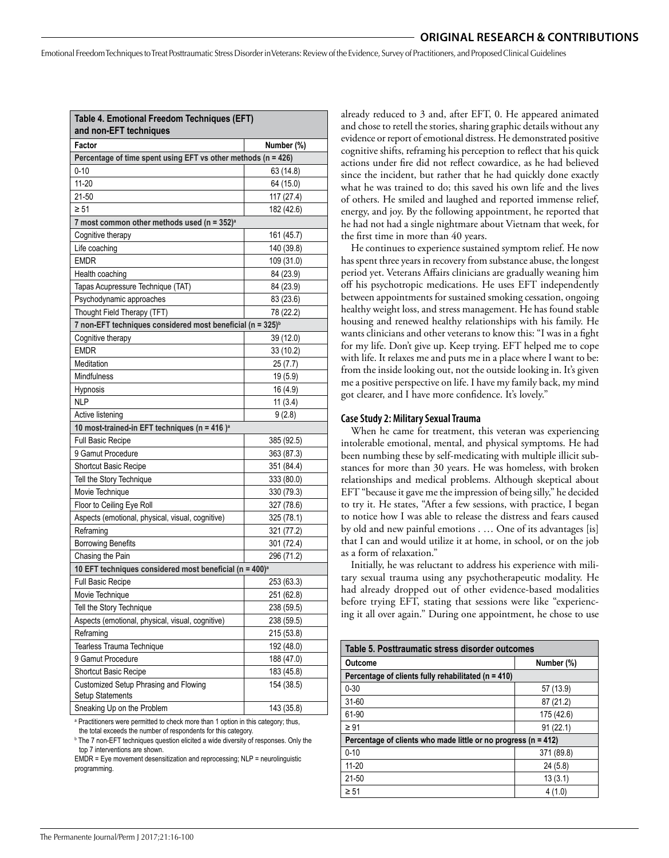| Table 4. Emotional Freedom Techniques (EFT)<br>and non-EFT techniques  |            |  |
|------------------------------------------------------------------------|------------|--|
| Factor                                                                 | Number (%) |  |
| Percentage of time spent using EFT vs other methods (n = 426)          |            |  |
| $0 - 10$                                                               | 63 (14.8)  |  |
| $11 - 20$                                                              | 64 (15.0)  |  |
| 21-50                                                                  | 117 (27.4) |  |
| $\geq 51$                                                              | 182 (42.6) |  |
| 7 most common other methods used (n = $352$ ) <sup>a</sup>             |            |  |
| Cognitive therapy                                                      | 161 (45.7) |  |
| Life coaching                                                          | 140 (39.8) |  |
| <b>EMDR</b>                                                            | 109 (31.0) |  |
| Health coaching                                                        | 84 (23.9)  |  |
| Tapas Acupressure Technique (TAT)                                      | 84 (23.9)  |  |
| Psychodynamic approaches                                               | 83 (23.6)  |  |
| Thought Field Therapy (TFT)                                            | 78 (22.2)  |  |
| 7 non-EFT techniques considered most beneficial (n = 325) <sup>b</sup> |            |  |
| Cognitive therapy                                                      | 39 (12.0)  |  |
| <b>EMDR</b>                                                            | 33(10.2)   |  |
| Meditation                                                             | 25(7.7)    |  |
| Mindfulness                                                            | 19 (5.9)   |  |
| Hypnosis                                                               | 16(4.9)    |  |
| <b>NLP</b>                                                             | 11(3.4)    |  |
| Active listening                                                       | 9(2.8)     |  |
| 10 most-trained-in EFT techniques (n = 416) <sup>a</sup>               |            |  |
| <b>Full Basic Recipe</b>                                               | 385 (92.5) |  |
| 9 Gamut Procedure                                                      | 363 (87.3) |  |
| Shortcut Basic Recipe                                                  | 351 (84.4) |  |
| Tell the Story Technique                                               | 333 (80.0) |  |
| Movie Technique                                                        | 330 (79.3) |  |
| Floor to Ceiling Eye Roll                                              | 327 (78.6) |  |
| Aspects (emotional, physical, visual, cognitive)                       | 325 (78.1) |  |
| Reframing                                                              | 321 (77.2) |  |
| <b>Borrowing Benefits</b>                                              | 301 (72.4) |  |
| Chasing the Pain                                                       | 296 (71.2) |  |
| 10 EFT techniques considered most beneficial (n = 400) <sup>a</sup>    |            |  |
| Full Basic Recipe                                                      | 253 (63.3) |  |
| Movie Technique                                                        | 251 (62.8) |  |
| Tell the Story Technique                                               | 238 (59.5) |  |
| Aspects (emotional, physical, visual, cognitive)                       | 238 (59.5) |  |
| Reframing                                                              | 215 (53.8) |  |
| Tearless Trauma Technique                                              | 192 (48.0) |  |
| 9 Gamut Procedure                                                      | 188 (47.0) |  |
| <b>Shortcut Basic Recipe</b>                                           | 183 (45.8) |  |
| Customized Setup Phrasing and Flowing<br><b>Setup Statements</b>       | 154 (38.5) |  |
| Sneaking Up on the Problem                                             | 143 (35.8) |  |

<sup>a</sup> Practitioners were permitted to check more than 1 option in this category; thus, the total exceeds the number of respondents for this category.

**b** The 7 non-EFT techniques question elicited a wide diversity of responses. Only the top 7 interventions are shown.

EMDR = Eye movement desensitization and reprocessing; NLP = neurolinguistic programming.

already reduced to 3 and, after EFT, 0. He appeared animated and chose to retell the stories, sharing graphic details without any evidence or report of emotional distress. He demonstrated positive cognitive shifts, reframing his perception to reflect that his quick actions under fire did not reflect cowardice, as he had believed since the incident, but rather that he had quickly done exactly what he was trained to do; this saved his own life and the lives of others. He smiled and laughed and reported immense relief, energy, and joy. By the following appointment, he reported that he had not had a single nightmare about Vietnam that week, for the first time in more than 40 years.

He continues to experience sustained symptom relief. He now has spent three years in recovery from substance abuse, the longest period yet. Veterans Affairs clinicians are gradually weaning him off his psychotropic medications. He uses EFT independently between appointments for sustained smoking cessation, ongoing healthy weight loss, and stress management. He has found stable housing and renewed healthy relationships with his family. He wants clinicians and other veterans to know this: "I was in a fight for my life. Don't give up. Keep trying. EFT helped me to cope with life. It relaxes me and puts me in a place where I want to be: from the inside looking out, not the outside looking in. It's given me a positive perspective on life. I have my family back, my mind got clearer, and I have more confidence. It's lovely."

# **Case Study 2: Military Sexual Trauma**

When he came for treatment, this veteran was experiencing intolerable emotional, mental, and physical symptoms. He had been numbing these by self-medicating with multiple illicit substances for more than 30 years. He was homeless, with broken relationships and medical problems. Although skeptical about EFT "because it gave me the impression of being silly," he decided to try it. He states, "After a few sessions, with practice, I began to notice how I was able to release the distress and fears caused by old and new painful emotions . … One of its advantages [is] that I can and would utilize it at home, in school, or on the job as a form of relaxation."

Initially, he was reluctant to address his experience with military sexual trauma using any psychotherapeutic modality. He had already dropped out of other evidence-based modalities before trying EFT, stating that sessions were like "experiencing it all over again." During one appointment, he chose to use

| Table 5. Posttraumatic stress disorder outcomes                    |            |  |
|--------------------------------------------------------------------|------------|--|
| Outcome                                                            | Number (%) |  |
| Percentage of clients fully rehabilitated (n = 410)                |            |  |
| $0 - 30$                                                           | 57 (13.9)  |  |
| 31-60                                                              | 87 (21.2)  |  |
| 61-90                                                              | 175 (42.6) |  |
| $\geq 91$                                                          | 91(22.1)   |  |
| Percentage of clients who made little or no progress ( $n = 412$ ) |            |  |
| $0 - 10$                                                           | 371 (89.8) |  |
| $11 - 20$                                                          | 24(5.8)    |  |
| $21 - 50$                                                          | 13(3.1)    |  |
| $\geq 51$                                                          | 4 (1.0)    |  |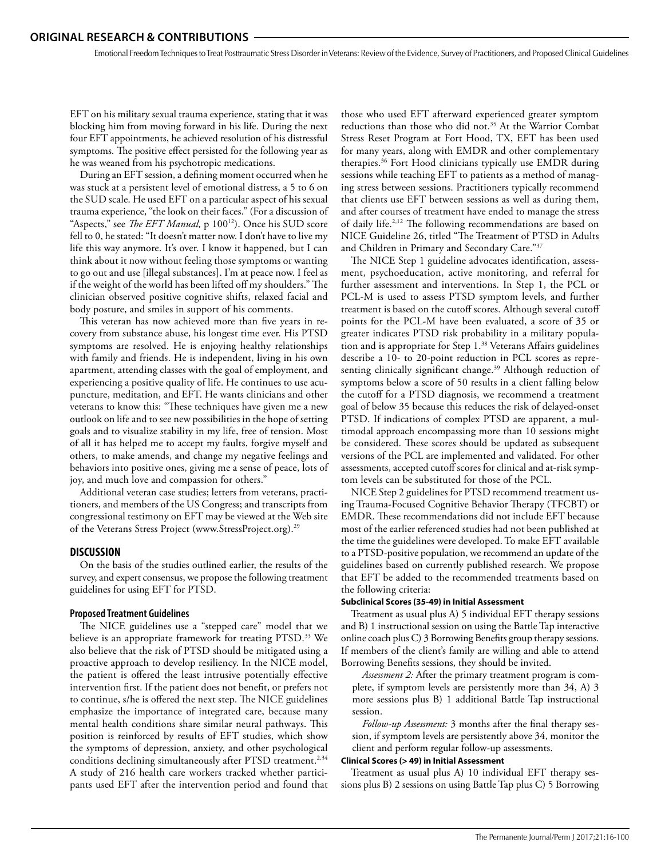EFT on his military sexual trauma experience, stating that it was blocking him from moving forward in his life. During the next four EFT appointments, he achieved resolution of his distressful symptoms. The positive effect persisted for the following year as he was weaned from his psychotropic medications.

During an EFT session, a defining moment occurred when he was stuck at a persistent level of emotional distress, a 5 to 6 on the SUD scale. He used EFT on a particular aspect of his sexual trauma experience, "the look on their faces." (For a discussion of "Aspects," see *The EFT Manual*, p 100<sup>12</sup>). Once his SUD score fell to 0, he stated: "It doesn't matter now. I don't have to live my life this way anymore. It's over. I know it happened, but I can think about it now without feeling those symptoms or wanting to go out and use [illegal substances]. I'm at peace now. I feel as if the weight of the world has been lifted off my shoulders." The clinician observed positive cognitive shifts, relaxed facial and body posture, and smiles in support of his comments.

This veteran has now achieved more than five years in recovery from substance abuse, his longest time ever. His PTSD symptoms are resolved. He is enjoying healthy relationships with family and friends. He is independent, living in his own apartment, attending classes with the goal of employment, and experiencing a positive quality of life. He continues to use acupuncture, meditation, and EFT. He wants clinicians and other veterans to know this: "These techniques have given me a new outlook on life and to see new possibilities in the hope of setting goals and to visualize stability in my life, free of tension. Most of all it has helped me to accept my faults, forgive myself and others, to make amends, and change my negative feelings and behaviors into positive ones, giving me a sense of peace, lots of joy, and much love and compassion for others."

Additional veteran case studies; letters from veterans, practitioners, and members of the US Congress; and transcripts from congressional testimony on EFT may be viewed at the Web site of the Veterans Stress Project (www.StressProject.org).29

#### **DISCUSSION**

On the basis of the studies outlined earlier, the results of the survey, and expert consensus, we propose the following treatment guidelines for using EFT for PTSD.

#### **Proposed Treatment Guidelines**

The NICE guidelines use a "stepped care" model that we believe is an appropriate framework for treating PTSD.<sup>33</sup> We also believe that the risk of PTSD should be mitigated using a proactive approach to develop resiliency. In the NICE model, the patient is offered the least intrusive potentially effective intervention first. If the patient does not benefit, or prefers not to continue, s/he is offered the next step. The NICE guidelines emphasize the importance of integrated care, because many mental health conditions share similar neural pathways. This position is reinforced by results of EFT studies, which show the symptoms of depression, anxiety, and other psychological conditions declining simultaneously after PTSD treatment.<sup>2,34</sup> A study of 216 health care workers tracked whether participants used EFT after the intervention period and found that those who used EFT afterward experienced greater symptom reductions than those who did not.<sup>35</sup> At the Warrior Combat Stress Reset Program at Fort Hood, TX, EFT has been used for many years, along with EMDR and other complementary therapies.36 Fort Hood clinicians typically use EMDR during sessions while teaching EFT to patients as a method of managing stress between sessions. Practitioners typically recommend that clients use EFT between sessions as well as during them, and after courses of treatment have ended to manage the stress of daily life.<sup>2,12</sup> The following recommendations are based on NICE Guideline 26, titled "The Treatment of PTSD in Adults and Children in Primary and Secondary Care."37

The NICE Step 1 guideline advocates identification, assessment, psychoeducation, active monitoring, and referral for further assessment and interventions. In Step 1, the PCL or PCL-M is used to assess PTSD symptom levels, and further treatment is based on the cutoff scores. Although several cutoff points for the PCL-M have been evaluated, a score of 35 or greater indicates PTSD risk probability in a military population and is appropriate for Step 1.38 Veterans Affairs guidelines describe a 10- to 20-point reduction in PCL scores as representing clinically significant change.<sup>39</sup> Although reduction of symptoms below a score of 50 results in a client falling below the cutoff for a PTSD diagnosis, we recommend a treatment goal of below 35 because this reduces the risk of delayed-onset PTSD. If indications of complex PTSD are apparent, a multimodal approach encompassing more than 10 sessions might be considered. These scores should be updated as subsequent versions of the PCL are implemented and validated. For other assessments, accepted cutoff scores for clinical and at-risk symptom levels can be substituted for those of the PCL.

NICE Step 2 guidelines for PTSD recommend treatment using Trauma-Focused Cognitive Behavior Therapy (TFCBT) or EMDR. These recommendations did not include EFT because most of the earlier referenced studies had not been published at the time the guidelines were developed. To make EFT available to a PTSD-positive population, we recommend an update of the guidelines based on currently published research. We propose that EFT be added to the recommended treatments based on the following criteria:

#### **Subclinical Scores (35-49) in Initial Assessment**

Treatment as usual plus A) 5 individual EFT therapy sessions and B) 1 instructional session on using the Battle Tap interactive online coach plus C) 3 Borrowing Benefits group therapy sessions. If members of the client's family are willing and able to attend Borrowing Benefits sessions, they should be invited.

*Assessment 2:* After the primary treatment program is complete, if symptom levels are persistently more than 34, A) 3 more sessions plus B) 1 additional Battle Tap instructional session.

*Follow-up Assessment:* 3 months after the final therapy session, if symptom levels are persistently above 34, monitor the client and perform regular follow-up assessments.

## **Clinical Scores (> 49) in Initial Assessment**

Treatment as usual plus A) 10 individual EFT therapy sessions plus B) 2 sessions on using Battle Tap plus C) 5 Borrowing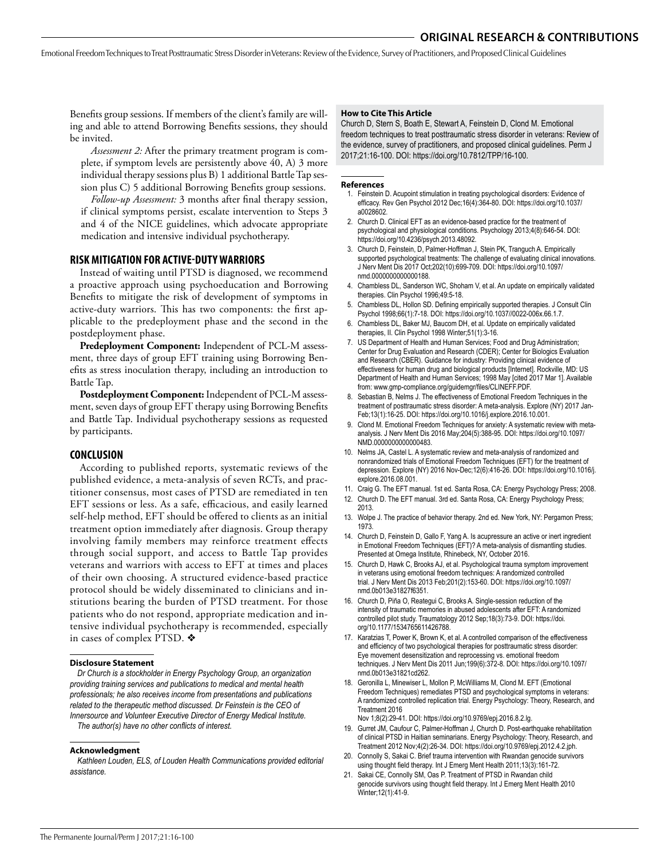Benefits group sessions. If members of the client's family are willing and able to attend Borrowing Benefits sessions, they should be invited.

*Assessment 2:* After the primary treatment program is complete, if symptom levels are persistently above 40, A) 3 more individual therapy sessions plus B) 1 additional Battle Tap session plus C) 5 additional Borrowing Benefits group sessions.

*Follow-up Assessment:* 3 months after final therapy session, if clinical symptoms persist, escalate intervention to Steps 3 and 4 of the NICE guidelines, which advocate appropriate medication and intensive individual psychotherapy.

## **RISK MITIGATION FOR ACTIVE-DUTY WARRIORS**

Instead of waiting until PTSD is diagnosed, we recommend a proactive approach using psychoeducation and Borrowing Benefits to mitigate the risk of development of symptoms in active-duty warriors. This has two components: the first applicable to the predeployment phase and the second in the postdeployment phase.

**Predeployment Component:** Independent of PCL-M assessment, three days of group EFT training using Borrowing Benefits as stress inoculation therapy, including an introduction to Battle Tap.

**Postdeployment Component:** Independent of PCL-M assessment, seven days of group EFT therapy using Borrowing Benefits and Battle Tap. Individual psychotherapy sessions as requested by participants.

#### **CONCLUSION**

According to published reports, systematic reviews of the published evidence, a meta-analysis of seven RCTs, and practitioner consensus, most cases of PTSD are remediated in ten EFT sessions or less. As a safe, efficacious, and easily learned self-help method, EFT should be offered to clients as an initial treatment option immediately after diagnosis. Group therapy involving family members may reinforce treatment effects through social support, and access to Battle Tap provides veterans and warriors with access to EFT at times and places of their own choosing. A structured evidence-based practice protocol should be widely disseminated to clinicians and institutions bearing the burden of PTSD treatment. For those patients who do not respond, appropriate medication and intensive individual psychotherapy is recommended, especially in cases of complex PTSD.  $\clubsuit$ 

#### **Disclosure Statement**

*Dr Church is a stockholder in Energy Psychology Group, an organization providing training services and publications to medical and mental health professionals; he also receives income from presentations and publications related to the therapeutic method discussed. Dr Feinstein is the CEO of Innersource and Volunteer Executive Director of Energy Medical Institute.* 

*The author(s) have no other conflicts of interest.*

#### **Acknowledgment**

*Kathleen Louden, ELS, of Louden Health Communications provided editorial assistance.*

#### **How to Cite This Article**

Church D, Stern S, Boath E, Stewart A, Feinstein D, Clond M. Emotional freedom techniques to treat posttraumatic stress disorder in veterans: Review of the evidence, survey of practitioners, and proposed clinical guidelines. Perm J 2017;21:16-100. DOI: https://doi.org/10.7812/TPP/16-100.

#### **References**

- 1. Feinstein D. Acupoint stimulation in treating psychological disorders: Evidence of efficacy. Rev Gen Psychol 2012 Dec;16(4):364-80. DOI: https://doi.org/10.1037/ a0028602.
- 2. Church D. Clinical EFT as an evidence-based practice for the treatment of psychological and physiological conditions. Psychology 2013;4(8):646-54. DOI: https://doi.org/10.4236/psych.2013.48092.
- 3. Church D, Feinstein, D, Palmer-Hoffman J, Stein PK, Tranguch A. Empirically supported psychological treatments: The challenge of evaluating clinical innovations. J Nerv Ment Dis 2017 Oct;202(10):699-709. DOI: https://doi.org/10.1097/ nmd.0000000000000188.
- 4. Chambless DL, Sanderson WC, Shoham V, et al. An update on empirically validated therapies. Clin Psychol 1996;49:5-18.
- 5. Chambless DL, Hollon SD. Defining empirically supported therapies. J Consult Clin Psychol 1998;66(1):7-18. DOI: https://doi.org/10.1037//0022-006x.66.1.7.
- 6. Chambless DL, Baker MJ, Baucom DH, et al. Update on empirically validated therapies, II. Clin Psychol 1998 Winter;51(1):3-16.
- 7. US Department of Health and Human Services; Food and Drug Administration; Center for Drug Evaluation and Research (CDER); Center for Biologics Evaluation and Research (CBER). Guidance for industry: Providing clinical evidence of effectiveness for human drug and biological products [Internet]. Rockville, MD: US Department of Health and Human Services; 1998 May [cited 2017 Mar 1]. Available from: www.gmp-compliance.org/guidemgr/files/CLINEFF.PDF.
- 8. Sebastian B, Nelms J. The effectiveness of Emotional Freedom Techniques in the treatment of posttraumatic stress disorder: A meta-analysis. Explore (NY) 2017 Jan-Feb;13(1):16-25. DOI: https://doi.org/10.1016/j.explore.2016.10.001.
- 9. Clond M. Emotional Freedom Techniques for anxiety: A systematic review with metaanalysis. J Nerv Ment Dis 2016 May;204(5):388-95. DOI: https://doi.org/10.1097/ NMD.0000000000000483.
- 10. Nelms JA, Castel L. A systematic review and meta-analysis of randomized and nonrandomized trials of Emotional Freedom Techniques (EFT) for the treatment of depression. Explore (NY) 2016 Nov-Dec;12(6):416-26. DOI: https://doi.org/10.1016/j. explore.2016.08.001.
- 11. Craig G. The EFT manual. 1st ed. Santa Rosa, CA: Energy Psychology Press; 2008.
- 12. Church D. The EFT manual. 3rd ed. Santa Rosa, CA: Energy Psychology Press; 2013.
- 13. Wolpe J. The practice of behavior therapy. 2nd ed. New York, NY: Pergamon Press; 1973.
- 14. Church D, Feinstein D, Gallo F, Yang A. Is acupressure an active or inert ingredient in Emotional Freedom Techniques (EFT)? A meta-analysis of dismantling studies. Presented at Omega Institute, Rhinebeck, NY, October 2016.
- 15. Church D, Hawk C, Brooks AJ, et al. Psychological trauma symptom improvement in veterans using emotional freedom techniques: A randomized controlled trial. J Nerv Ment Dis 2013 Feb;201(2):153-60. DOI: https://doi.org/10.1097/ nmd.0b013e31827f6351.
- 16. Church D, Piña O, Reategui C, Brooks A. Single-session reduction of the intensity of traumatic memories in abused adolescents after EFT: A randomized controlled pilot study. Traumatology 2012 Sep;18(3):73-9. DOI: https://doi. org/10.1177/1534765611426788.
- 17. Karatzias T, Power K, Brown K, et al. A controlled comparison of the effectiveness and efficiency of two psychological therapies for posttraumatic stress disorder: Eye movement desensitization and reprocessing vs. emotional freedom techniques. J Nerv Ment Dis 2011 Jun;199(6):372-8. DOI: https://doi.org/10.1097/ nmd.0b013e31821cd262.
- 18. Geronilla L, Minewiser L, Mollon P, McWilliams M, Clond M. EFT (Emotional Freedom Techniques) remediates PTSD and psychological symptoms in veterans: A randomized controlled replication trial. Energy Psychology: Theory, Research, and Treatment 2016

Nov 1;8(2):29-41. DOI: https://doi.org/10.9769/epj.2016.8.2.lg.

- 19. Gurret JM, Caufour C, Palmer-Hoffman J, Church D. Post-earthquake rehabilitation of clinical PTSD in Haitian seminarians. Energy Psychology: Theory, Research, and Treatment 2012 Nov;4(2):26-34. DOI: https://doi.org/10.9769/epj.2012.4.2.jph.
- 20. Connolly S, Sakai C. Brief trauma intervention with Rwandan genocide survivors using thought field therapy. Int J Emerg Ment Health 2011;13(3):161-72.
- 21. Sakai CE, Connolly SM, Oas P. Treatment of PTSD in Rwandan child genocide survivors using thought field therapy. Int J Emerg Ment Health 2010 Winter;12(1):41-9.